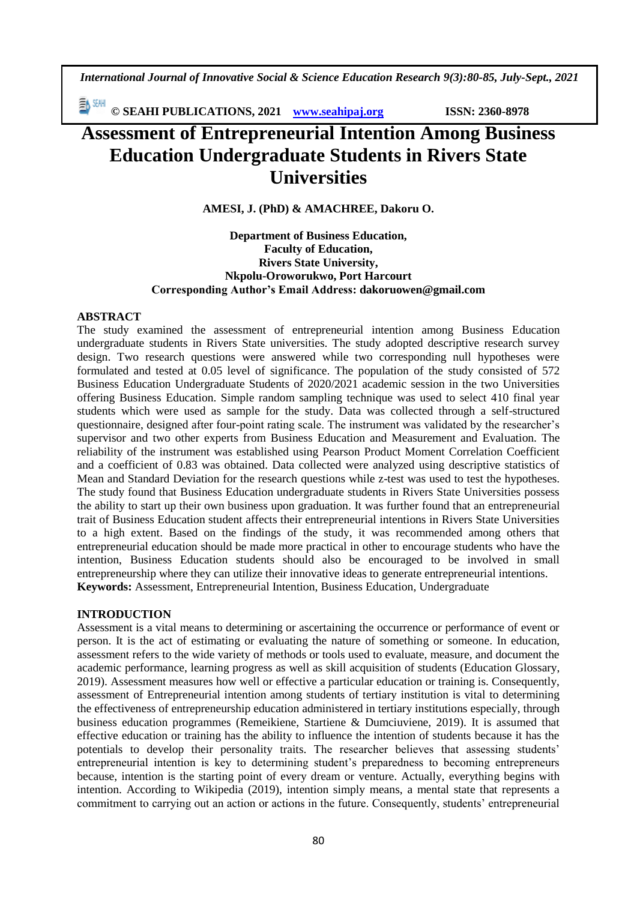*International Journal of Innovative Social & Science Education Research 9(3):80-85, July-Sept., 2021*

EV ZEM **© SEAHI PUBLICATIONS, 2021 [www.seahipaj.org](http://www.seahipaj.org/) ISSN: 2360-8978**

# **Assessment of Entrepreneurial Intention Among Business Education Undergraduate Students in Rivers State Universities**

**AMESI, J. (PhD) & AMACHREE, Dakoru O.**

#### **Department of Business Education, Faculty of Education, Rivers State University, Nkpolu-Oroworukwo, Port Harcourt Corresponding Author's Email Address: [dakoruowen@gmail.com](mailto:dakoruowen@gmail.com)**

# **ABSTRACT**

The study examined the assessment of entrepreneurial intention among Business Education undergraduate students in Rivers State universities. The study adopted descriptive research survey design. Two research questions were answered while two corresponding null hypotheses were formulated and tested at 0.05 level of significance. The population of the study consisted of 572 Business Education Undergraduate Students of 2020/2021 academic session in the two Universities offering Business Education. Simple random sampling technique was used to select 410 final year students which were used as sample for the study. Data was collected through a self-structured questionnaire, designed after four-point rating scale. The instrument was validated by the researcher's supervisor and two other experts from Business Education and Measurement and Evaluation. The reliability of the instrument was established using Pearson Product Moment Correlation Coefficient and a coefficient of 0.83 was obtained. Data collected were analyzed using descriptive statistics of Mean and Standard Deviation for the research questions while z-test was used to test the hypotheses. The study found that Business Education undergraduate students in Rivers State Universities possess the ability to start up their own business upon graduation. It was further found that an entrepreneurial trait of Business Education student affects their entrepreneurial intentions in Rivers State Universities to a high extent. Based on the findings of the study, it was recommended among others that entrepreneurial education should be made more practical in other to encourage students who have the intention, Business Education students should also be encouraged to be involved in small entrepreneurship where they can utilize their innovative ideas to generate entrepreneurial intentions. **Keywords:** Assessment, Entrepreneurial Intention, Business Education, Undergraduate

# **INTRODUCTION**

Assessment is a vital means to determining or ascertaining the occurrence or performance of event or person. It is the act of estimating or evaluating the nature of something or someone. In education, assessment refers to the wide variety of methods or tools used to evaluate, measure, and document the academic performance, learning progress as well as skill acquisition of students (Education Glossary, 2019). Assessment measures how well or effective a particular education or training is. Consequently, assessment of Entrepreneurial intention among students of tertiary institution is vital to determining the effectiveness of entrepreneurship education administered in tertiary institutions especially, through business education programmes (Remeikiene, Startiene & Dumciuviene, 2019). It is assumed that effective education or training has the ability to influence the intention of students because it has the potentials to develop their personality traits. The researcher believes that assessing students' entrepreneurial intention is key to determining student's preparedness to becoming entrepreneurs because, intention is the starting point of every dream or venture. Actually, everything begins with intention. According to Wikipedia (2019), intention simply means, a mental state that represents a commitment to carrying out an action or actions in the future. Consequently, students' entrepreneurial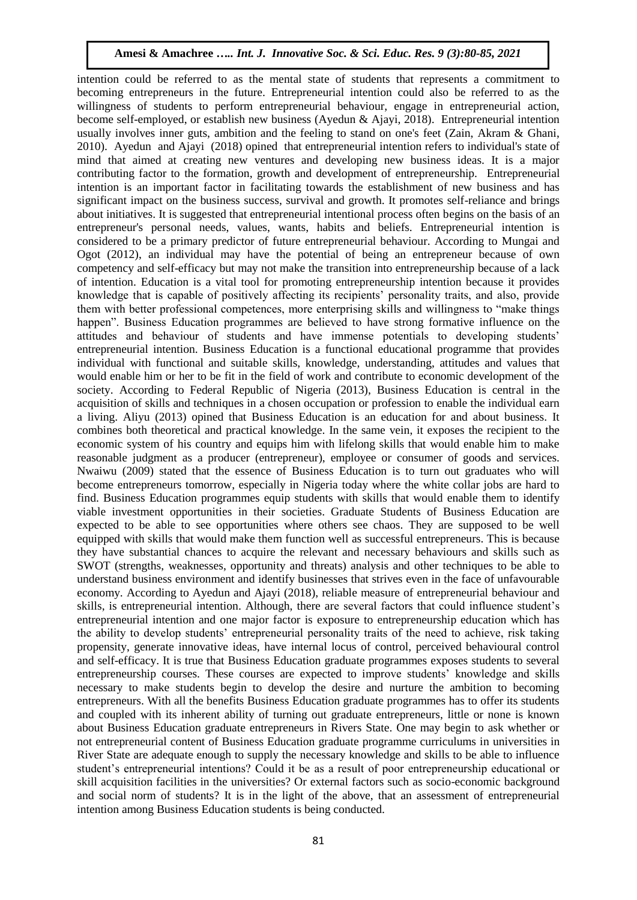intention could be referred to as the mental state of students that represents a commitment to becoming entrepreneurs in the future. Entrepreneurial intention could also be referred to as the willingness of students to perform entrepreneurial behaviour, engage in entrepreneurial action, become self-employed, or establish new business (Ayedun & Ajayi, 2018). Entrepreneurial intention usually involves inner guts, ambition and the feeling to stand on one's feet (Zain, Akram & Ghani, 2010). Ayedun and Ajayi (2018) opined that entrepreneurial intention refers to individual's state of mind that aimed at creating new ventures and developing new business ideas. It is a major contributing factor to the formation, growth and development of entrepreneurship. Entrepreneurial intention is an important factor in facilitating towards the establishment of new business and has significant impact on the business success, survival and growth. It promotes self-reliance and brings about initiatives. It is suggested that entrepreneurial intentional process often begins on the basis of an entrepreneur's personal needs, values, wants, habits and beliefs. Entrepreneurial intention is considered to be a primary predictor of future entrepreneurial behaviour. According to Mungai and Ogot (2012), an individual may have the potential of being an entrepreneur because of own competency and self-efficacy but may not make the transition into entrepreneurship because of a lack of intention. Education is a vital tool for promoting entrepreneurship intention because it provides knowledge that is capable of positively affecting its recipients' personality traits, and also, provide them with better professional competences, more enterprising skills and willingness to "make things happen". Business Education programmes are believed to have strong formative influence on the attitudes and behaviour of students and have immense potentials to developing students' entrepreneurial intention. Business Education is a functional educational programme that provides individual with functional and suitable skills, knowledge, understanding, attitudes and values that would enable him or her to be fit in the field of work and contribute to economic development of the society. According to Federal Republic of Nigeria (2013), Business Education is central in the acquisition of skills and techniques in a chosen occupation or profession to enable the individual earn a living. Aliyu (2013) opined that Business Education is an education for and about business. It combines both theoretical and practical knowledge. In the same vein, it exposes the recipient to the economic system of his country and equips him with lifelong skills that would enable him to make reasonable judgment as a producer (entrepreneur), employee or consumer of goods and services. Nwaiwu (2009) stated that the essence of Business Education is to turn out graduates who will become entrepreneurs tomorrow, especially in Nigeria today where the white collar jobs are hard to find. Business Education programmes equip students with skills that would enable them to identify viable investment opportunities in their societies. Graduate Students of Business Education are expected to be able to see opportunities where others see chaos. They are supposed to be well equipped with skills that would make them function well as successful entrepreneurs. This is because they have substantial chances to acquire the relevant and necessary behaviours and skills such as SWOT (strengths, weaknesses, opportunity and threats) analysis and other techniques to be able to understand business environment and identify businesses that strives even in the face of unfavourable economy. According to Ayedun and Ajayi (2018), reliable measure of entrepreneurial behaviour and skills, is entrepreneurial intention. Although, there are several factors that could influence student's entrepreneurial intention and one major factor is exposure to entrepreneurship education which has the ability to develop students' entrepreneurial personality traits of the need to achieve, risk taking propensity, generate innovative ideas, have internal locus of control, perceived behavioural control and self-efficacy. It is true that Business Education graduate programmes exposes students to several entrepreneurship courses. These courses are expected to improve students' knowledge and skills necessary to make students begin to develop the desire and nurture the ambition to becoming entrepreneurs. With all the benefits Business Education graduate programmes has to offer its students and coupled with its inherent ability of turning out graduate entrepreneurs, little or none is known about Business Education graduate entrepreneurs in Rivers State. One may begin to ask whether or not entrepreneurial content of Business Education graduate programme curriculums in universities in River State are adequate enough to supply the necessary knowledge and skills to be able to influence student's entrepreneurial intentions? Could it be as a result of poor entrepreneurship educational or skill acquisition facilities in the universities? Or external factors such as socio-economic background and social norm of students? It is in the light of the above, that an assessment of entrepreneurial intention among Business Education students is being conducted.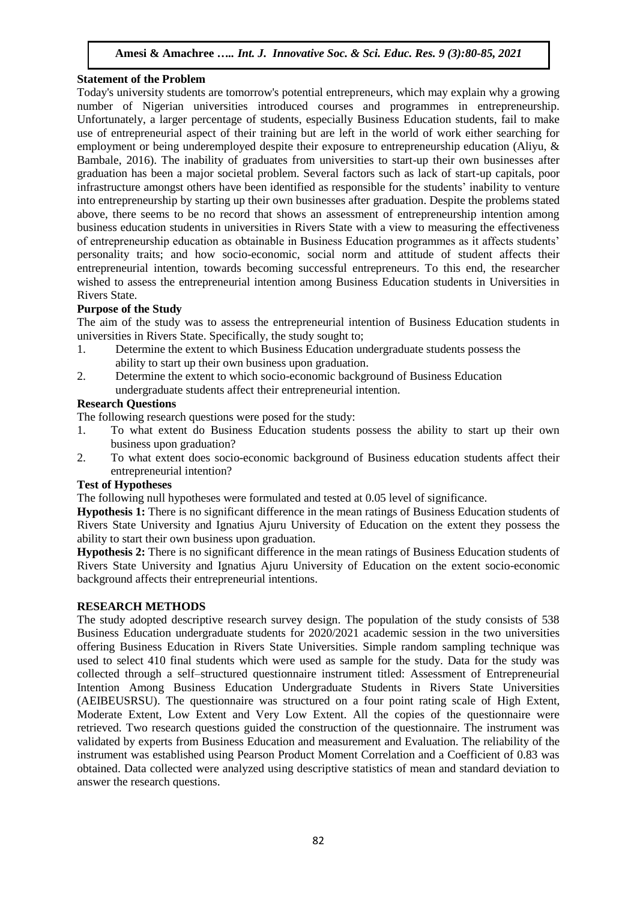#### **Statement of the Problem**

Today's university students are tomorrow's potential entrepreneurs, which may explain why a growing number of Nigerian universities introduced courses and programmes in entrepreneurship. Unfortunately, a larger percentage of students, especially Business Education students, fail to make use of entrepreneurial aspect of their training but are left in the world of work either searching for employment or being underemployed despite their exposure to entrepreneurship education (Aliyu, & Bambale, 2016). The inability of graduates from universities to start-up their own businesses after graduation has been a major societal problem. Several factors such as lack of start-up capitals, poor infrastructure amongst others have been identified as responsible for the students' inability to venture into entrepreneurship by starting up their own businesses after graduation. Despite the problems stated above, there seems to be no record that shows an assessment of entrepreneurship intention among business education students in universities in Rivers State with a view to measuring the effectiveness of entrepreneurship education as obtainable in Business Education programmes as it affects students' personality traits; and how socio-economic, social norm and attitude of student affects their entrepreneurial intention, towards becoming successful entrepreneurs. To this end, the researcher wished to assess the entrepreneurial intention among Business Education students in Universities in Rivers State.

# **Purpose of the Study**

The aim of the study was to assess the entrepreneurial intention of Business Education students in universities in Rivers State. Specifically, the study sought to;

- 1. Determine the extent to which Business Education undergraduate students possess the ability to start up their own business upon graduation.
- 2. Determine the extent to which socio-economic background of Business Education undergraduate students affect their entrepreneurial intention.

#### **Research Questions**

The following research questions were posed for the study:

- 1. To what extent do Business Education students possess the ability to start up their own business upon graduation?
- 2. To what extent does socio-economic background of Business education students affect their entrepreneurial intention?

# **Test of Hypotheses**

The following null hypotheses were formulated and tested at 0.05 level of significance.

**Hypothesis 1:** There is no significant difference in the mean ratings of Business Education students of Rivers State University and Ignatius Ajuru University of Education on the extent they possess the ability to start their own business upon graduation.

**Hypothesis 2:** There is no significant difference in the mean ratings of Business Education students of Rivers State University and Ignatius Ajuru University of Education on the extent socio-economic background affects their entrepreneurial intentions.

#### **RESEARCH METHODS**

The study adopted descriptive research survey design. The population of the study consists of 538 Business Education undergraduate students for 2020/2021 academic session in the two universities offering Business Education in Rivers State Universities. Simple random sampling technique was used to select 410 final students which were used as sample for the study. Data for the study was collected through a self–structured questionnaire instrument titled: Assessment of Entrepreneurial Intention Among Business Education Undergraduate Students in Rivers State Universities (AEIBEUSRSU). The questionnaire was structured on a four point rating scale of High Extent, Moderate Extent, Low Extent and Very Low Extent. All the copies of the questionnaire were retrieved. Two research questions guided the construction of the questionnaire. The instrument was validated by experts from Business Education and measurement and Evaluation. The reliability of the instrument was established using Pearson Product Moment Correlation and a Coefficient of 0.83 was obtained. Data collected were analyzed using descriptive statistics of mean and standard deviation to answer the research questions.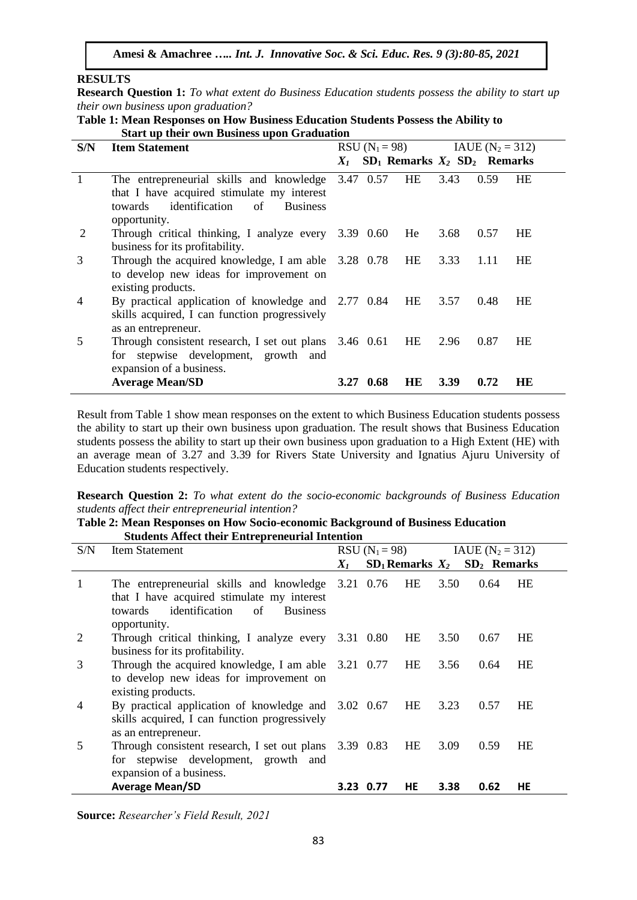#### **RESULTS**

**Research Question 1:** *To what extent do Business Education students possess the ability to start up their own business upon graduation?* 

**Table 1: Mean Responses on How Business Education Students Possess the Ability to Start up their own Business upon Graduation** 

| S/N          | <b>Item Statement</b>                                                                                                                                        | $RSU (N_1 = 98)$ |             |           | $IAUE (N2 = 312)$                   |      |           |
|--------------|--------------------------------------------------------------------------------------------------------------------------------------------------------------|------------------|-------------|-----------|-------------------------------------|------|-----------|
|              |                                                                                                                                                              | $X_{I}$          |             |           | $SD_1$ Remarks $X_2$ $SD_2$ Remarks |      |           |
| $\mathbf{1}$ | The entrepreneurial skills and knowledge<br>that I have acquired stimulate my interest<br>identification<br>of<br>towards<br><b>Business</b><br>opportunity. |                  | 3.47 0.57   | HE        | 3.43                                | 0.59 | HE        |
| 2            | Through critical thinking, I analyze every 3.39 0.60<br>business for its profitability.                                                                      |                  |             | He        | 3.68                                | 0.57 | HE        |
| 3            | Through the acquired knowledge, I am able 3.28 0.78<br>to develop new ideas for improvement on<br>existing products.                                         |                  |             | <b>HE</b> | 3.33                                | 1.11 | <b>HE</b> |
| 4            | By practical application of knowledge and 2.77 0.84<br>skills acquired, I can function progressively<br>as an entrepreneur.                                  |                  |             | HE        | 3.57                                | 0.48 | HE        |
| 5            | Through consistent research, I set out plans 3.46 0.61<br>for stepwise development, growth and<br>expansion of a business.                                   |                  |             | HE        | 2.96                                | 0.87 | HE        |
|              | <b>Average Mean/SD</b>                                                                                                                                       |                  | $3.27$ 0.68 | HE        | 3.39                                | 0.72 | HE        |

Result from Table 1 show mean responses on the extent to which Business Education students possess the ability to start up their own business upon graduation. The result shows that Business Education students possess the ability to start up their own business upon graduation to a High Extent (HE) with an average mean of 3.27 and 3.39 for Rivers State University and Ignatius Ajuru University of Education students respectively.

**Research Question 2:** *To what extent do the socio-economic backgrounds of Business Education students affect their entrepreneurial intention?*

#### **Table 2: Mean Responses on How Socio-economic Background of Business Education Students Affect their Entrepreneurial Intention**

| S/N            | <b>Item Statement</b>                                                                                                                                               |       |           |           | RSU $(N_1 = 98)$ IAUE $(N_2 = 312)$ |                                     |           |  |
|----------------|---------------------------------------------------------------------------------------------------------------------------------------------------------------------|-------|-----------|-----------|-------------------------------------|-------------------------------------|-----------|--|
|                |                                                                                                                                                                     | $X_I$ |           |           |                                     | $SD_1$ Remarks $X_2$ $SD_2$ Remarks |           |  |
| 1              | The entrepreneurial skills and knowledge 3.21 0.76<br>that I have acquired stimulate my interest<br>identification of<br><b>Business</b><br>towards<br>opportunity. |       |           | HE        | 3.50                                | 0.64                                | <b>HE</b> |  |
| 2              | Through critical thinking, I analyze every 3.31 0.80<br>business for its profitability.                                                                             |       |           | HE        | 3.50                                | 0.67                                | HE        |  |
| 3              | Through the acquired knowledge, I am able 3.21 0.77<br>to develop new ideas for improvement on<br>existing products.                                                |       |           | <b>HE</b> | 3.56                                | 0.64                                | HE        |  |
| $\overline{4}$ | By practical application of knowledge and 3.02 0.67<br>skills acquired, I can function progressively<br>as an entrepreneur.                                         |       |           | HE        | 3.23                                | 0.57                                | <b>HE</b> |  |
| 5              | Through consistent research, I set out plans 3.39 0.83<br>for stepwise development, growth and<br>expansion of a business.                                          |       |           | <b>HE</b> | 3.09                                | 0.59                                | <b>HE</b> |  |
|                | <b>Average Mean/SD</b>                                                                                                                                              |       | 3.23 0.77 | <b>HE</b> | 3.38                                | 0.62                                | HE        |  |

**Source:** *Researcher's Field Result, 2021*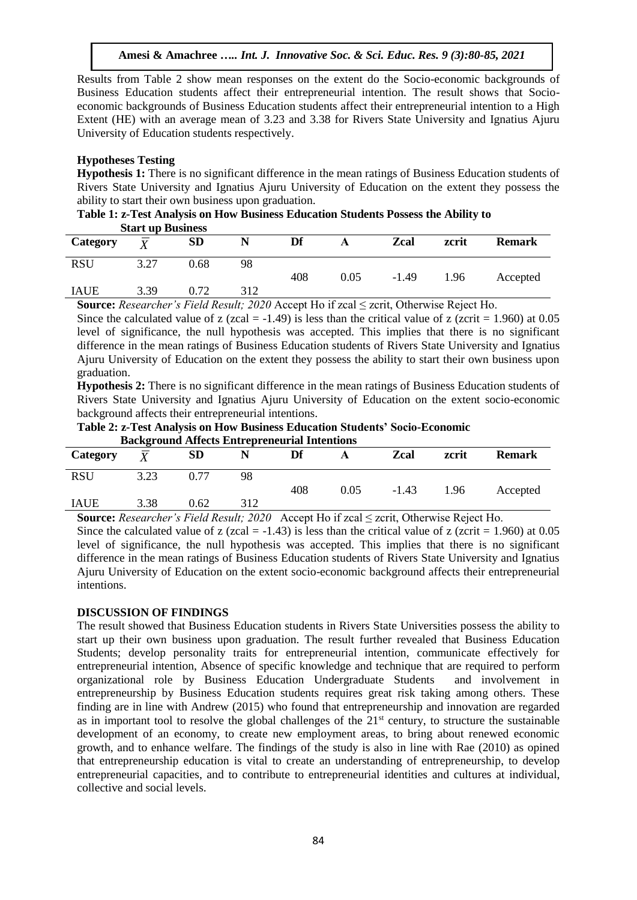Results from Table 2 show mean responses on the extent do the Socio-economic backgrounds of Business Education students affect their entrepreneurial intention. The result shows that Socioeconomic backgrounds of Business Education students affect their entrepreneurial intention to a High Extent (HE) with an average mean of 3.23 and 3.38 for Rivers State University and Ignatius Ajuru University of Education students respectively.

#### **Hypotheses Testing**

**Hypothesis 1:** There is no significant difference in the mean ratings of Business Education students of Rivers State University and Ignatius Ajuru University of Education on the extent they possess the ability to start their own business upon graduation.

**Table 1: z-Test Analysis on How Business Education Students Possess the Ability to Start up Business**

| Category    | $\overline{V}$ | <b>SD</b> |     | Df  |      | Zcal    | zcrit | <b>Remark</b> |
|-------------|----------------|-----------|-----|-----|------|---------|-------|---------------|
| <b>RSU</b>  | 3.27           | 0.68      | 98  |     |      |         |       |               |
|             |                |           |     | 408 | 0.05 | $-1.49$ | 1.96  | Accepted      |
| <b>IAUE</b> | 3.39           | 0.72      | 312 |     |      |         |       |               |
|             |                |           |     |     |      |         |       |               |

**Source:** *Researcher's Field Result; 2020* Accept Ho if zcal ≤ zcrit, Otherwise Reject Ho.

Since the calculated value of z (zcal =  $-1.49$ ) is less than the critical value of z (zcrit = 1.960) at 0.05 level of significance, the null hypothesis was accepted. This implies that there is no significant difference in the mean ratings of Business Education students of Rivers State University and Ignatius Ajuru University of Education on the extent they possess the ability to start their own business upon graduation.

**Hypothesis 2:** There is no significant difference in the mean ratings of Business Education students of Rivers State University and Ignatius Ajuru University of Education on the extent socio-economic background affects their entrepreneurial intentions.

| Table 2: z-Test Analysis on How Business Education Students' Socio-Economic |  |
|-----------------------------------------------------------------------------|--|
| <b>Background Affects Entrepreneurial Intentions</b>                        |  |

| -------------- |              |      |     |     |      |         |       |               |
|----------------|--------------|------|-----|-----|------|---------|-------|---------------|
| Category       | $\mathbf{v}$ | SD   |     | Df  |      | Zcal    | zcrit | <b>Remark</b> |
| <b>RSU</b>     | 3.23         | 0.77 | 98  | 408 | 0.05 | $-1.43$ | 1.96  | Accepted      |
| <b>IAUE</b>    | 3.38         | 0.62 | 312 |     |      |         |       |               |

**Source:** *Researcher's Field Result; 2020* Accept Ho if zcal ≤ zcrit, Otherwise Reject Ho.

Since the calculated value of z (zcal =  $-1.43$ ) is less than the critical value of z (zcrit = 1.960) at 0.05 level of significance, the null hypothesis was accepted. This implies that there is no significant difference in the mean ratings of Business Education students of Rivers State University and Ignatius Ajuru University of Education on the extent socio-economic background affects their entrepreneurial intentions.

#### **DISCUSSION OF FINDINGS**

The result showed that Business Education students in Rivers State Universities possess the ability to start up their own business upon graduation. The result further revealed that Business Education Students; develop personality traits for entrepreneurial intention, communicate effectively for entrepreneurial intention, Absence of specific knowledge and technique that are required to perform organizational role by Business Education Undergraduate Students and involvement in entrepreneurship by Business Education students requires great risk taking among others. These finding are in line with Andrew (2015) who found that entrepreneurship and innovation are regarded as in important tool to resolve the global challenges of the 21<sup>st</sup> century, to structure the sustainable development of an economy, to create new employment areas, to bring about renewed economic growth, and to enhance welfare. The findings of the study is also in line with Rae (2010) as opined that entrepreneurship education is vital to create an understanding of entrepreneurship, to develop entrepreneurial capacities, and to contribute to entrepreneurial identities and cultures at individual, collective and social levels.